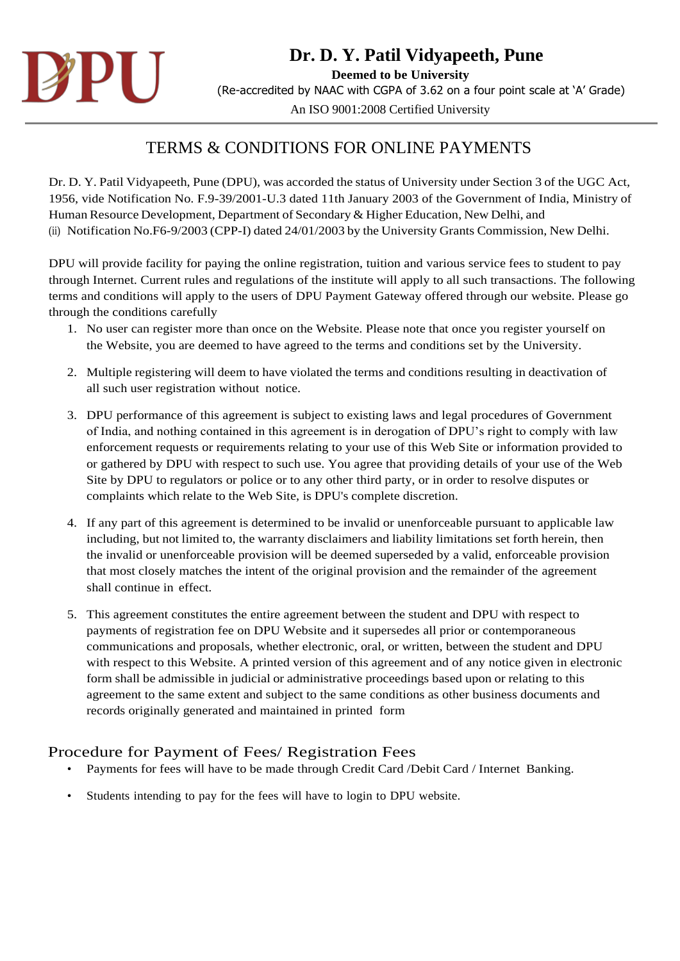

## TERMS & CONDITIONS FOR ONLINE PAYMENTS

Dr. D. Y. Patil Vidyapeeth, Pune (DPU), was accorded the status of University under Section 3 of the UGC Act, 1956, vide Notification No. F.9-39/2001-U.3 dated 11th January 2003 of the Government of India, Ministry of Human Resource Development, Department of Secondary & Higher Education, New Delhi, and (ii) Notification No.F6-9/2003 (CPP-I) dated 24/01/2003 by the University Grants Commission, New Delhi.

DPU will provide facility for paying the online registration, tuition and various service fees to student to pay through Internet. Current rules and regulations of the institute will apply to all such transactions. The following terms and conditions will apply to the users of DPU Payment Gateway offered through our website. Please go through the conditions carefully

- 1. No user can register more than once on the Website. Please note that once you register yourself on the Website, you are deemed to have agreed to the terms and conditions set by the University.
- 2. Multiple registering will deem to have violated the terms and conditions resulting in deactivation of all such user registration without notice.
- 3. DPU performance of this agreement is subject to existing laws and legal procedures of Government of India, and nothing contained in this agreement is in derogation of DPU's right to comply with law enforcement requests or requirements relating to your use of this Web Site or information provided to or gathered by DPU with respect to such use. You agree that providing details of your use of the Web Site by DPU to regulators or police or to any other third party, or in order to resolve disputes or complaints which relate to the Web Site, is DPU's complete discretion.
- 4. If any part of this agreement is determined to be invalid or unenforceable pursuant to applicable law including, but not limited to, the warranty disclaimers and liability limitations set forth herein, then the invalid or unenforceable provision will be deemed superseded by a valid, enforceable provision that most closely matches the intent of the original provision and the remainder of the agreement shall continue in effect.
- 5. This agreement constitutes the entire agreement between the student and DPU with respect to payments of registration fee on DPU Website and it supersedes all prior or contemporaneous communications and proposals, whether electronic, oral, or written, between the student and DPU with respect to this Website. A printed version of this agreement and of any notice given in electronic form shall be admissible in judicial or administrative proceedings based upon or relating to this agreement to the same extent and subject to the same conditions as other business documents and records originally generated and maintained in printed form

## Procedure for Payment of Fees/ Registration Fees

- Payments for fees will have to be made through Credit Card /Debit Card / Internet Banking.
- Students intending to pay for the fees will have to login to DPU website.